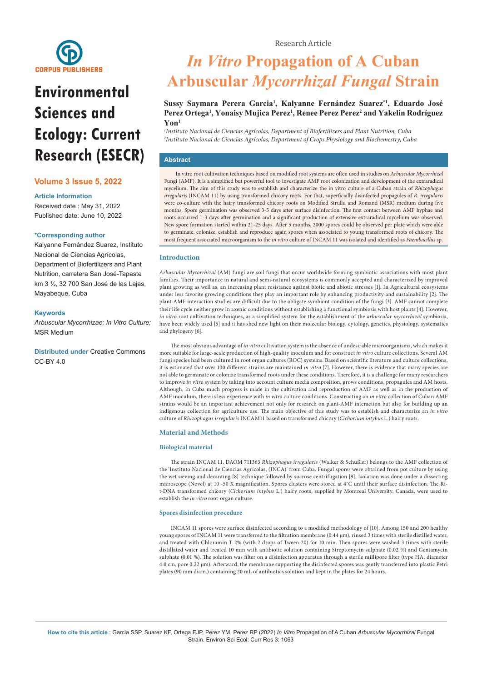

# **Environmental Sciences and Ecology: Current Research (ESECR)**

## **Volume 3 Issue 5, 2022**

#### **Article Information**

Received date : May 31, 2022 Published date: June 10, 2022

#### **\*Corresponding author**

Kalyanne Fernández Suarez, Instituto Nacional de Ciencias Agrícolas, Department of Biofertilizers and Plant Nutrition, carretera San José-Tapaste km 3 ½, 32 700 San José de las Lajas, Mayabeque, Cuba

#### **Keywords**

*Arbuscular Mycorrhizae; In Vitro Culture;*  MSR Medium

**Distributed under** [Creative Commons](https://creativecommons.org/licenses/by/4.0/)   $CC-BY 4.0$ 

## *In Vitro* **Propagation of A Cuban Arbuscular** *Mycorrhizal Fungal* **Strain**

## **Sussy Saymara Perera Garcia1 , Kalyanne Fernández Suarez\*1, Eduardo José**  Perez Ortega<sup>1</sup>, Yonaisy Mujica Perez<sup>1</sup>, Renee Perez Perez<sup>2</sup> and Yakelin Rodríguez **Yon1**

*1 Instituto Nacional de Ciencias Agrícolas, Department of Biofertilizers and Plant Nutrition, Cuba 2 Instituto Nacional de Ciencias Agrícolas, Department of Crops Physiology and Biochemestry, Cuba*

## **Abstract**

In vitro root cultivation techniques based on modified root systems are often used in studies on *Arbuscular Mycorrhizal*  Fungi (AMF). It is a simplified but powerful tool to investigate AMF root colonization and development of the extraradical mycelium. The aim of this study was to establish and characterize the in vitro culture of a Cuban strain of *Rhizophagus irregularis* (INCAM 11) by using transformed chicory roots. For that, superficially disinfected propagules of *R. irregularis*  were co-culture with the hairy transformed chicory roots on Modified Strullu and Romand (MSR) medium during five months. Spore germination was observed 3-5 days after surface disinfection. The first contact between AMF hyphae and roots occurred 1-3 days after germination and a significant production of extensive extraradical mycelium was observed. New spore formation started within 21-25 days. After 5 months, 2000 spores could be observed per plate which were able to germinate, colonize, establish and reproduce again spores when associated to young transformed roots of chicory. The most frequent associated microorganism to the *in vitro* culture of INCAM 11 was isolated and identified as *Paenibacillus* sp.

#### **Introduction**

*Arbuscular Mycorrhizal* (AM) fungi are soil fungi that occur worldwide forming symbiotic associations with most plant families. Their importance in natural and semi-natural ecosystems is commonly accepted and characterized by improved plant growing as well as, an increasing plant resistance against biotic and abiotic stresses [1]. In Agricultural ecosystems under less favorite growing conditions they play an important role by enhancing productivity and sustainability [2]. The plant-AMF interaction studies are difficult due to the obligate symbiont condition of the fungi [3]. AMF cannot complete their life cycle neither grow in axenic conditions without establishing a functional symbiosis with host plants [4]. However, *in vitro* root cultivation techniques, as a simplified system for the establishment of the *arbuscular mycorrhizal* symbiosis, have been widely used [5] and it has shed new light on their molecular biology, cytology, genetics, physiology, systematics and phylogeny [6].

The most obvious advantage of *in vitro* cultivation system is the absence of undesirable microorganisms, which makes it more suitable for large-scale production of high-quality inoculum and for construct *in vitro* culture collections. Several AM fungi species had been cultured in root organ cultures (ROC) systems. Based on scientific literature and culture collections, it is estimated that over 100 different strains are maintained *in vitro* [7]. However, there is evidence that many species are not able to germinate or colonize transformed roots under these conditions. Therefore, it is a challenge for many researchers to improve *in vitro* system by taking into account culture media composition, grows conditions, propagules and AM hosts. Although, in Cuba much progress is made in the cultivation and reproduction of AMF as well as in the production of AMF inoculum, there is less experience with *in vitro* culture conditions. Constructing an *in vitro* collection of Cuban AMF strains would be an important achievement not only for research on plant-AMF interaction but also for building up an indigenous collection for agriculture use. The main objective of this study was to establish and characterize an *in vitro*  culture of *Rhizophagus irregularis* INCAM11 based on transformed chicory (*Cichorium intybus* L.) hairy roots.

### **Material and Methods**

#### **Biological material**

The strain INCAM 11, DAOM 711363 *Rhizophagus irregularis* (Walker & Schüßler) belongs to the AMF collection of the 'Instituto Nacional de Ciencias Agrícolas, (INCA)' from Cuba. Fungal spores were obtained from pot culture by using the wet sieving and decanting [8] technique followed by sucrose centrifugation [9]. Isolation was done under a dissecting microscope (Novel) at 10 -50 X magnification. Spores clusters were stored at 4˚C until their surface disinfection. The Rit-DNA transformed chicory (*Cichorium intybus* L.) hairy roots, supplied by Montreal University, Canada, were used to establish the *in vitro* root-organ culture.

#### **Spores disinfection procedure**

INCAM 11 spores were surface disinfected according to a modified methodology of [10]. Among 150 and 200 healthy young spores of INCAM 11 were transferred to the filtration membrane (0.44 μm), rinsed 3 times with sterile distilled water, and treated with Chloramin T 2% (with 2 drops of Tween 20) for 10 min. Then spores were washed 3 times with sterile distillated water and treated 10 min with antibiotic solution containing Streptomycin sulphate (0.02 %) and Gentamycin sulphate (0.01 %). The solution was filter on a disinfection apparatus through a sterile millipore filter (type HA, diameter 4.0 cm, pore 0.22 μm). Afterward, the membrane supporting the disinfected spores was gently transferred into plastic Petri plates (90 mm diam.) containing 20 mL of antibiotics solution and kept in the plates for 24 hours.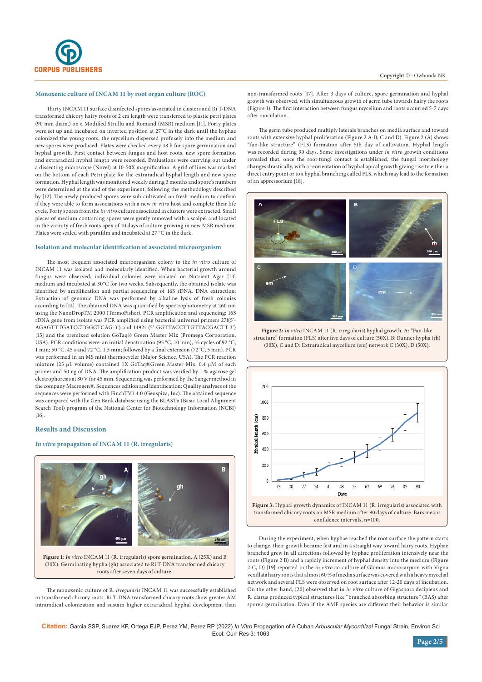

#### **Monoxenic culture of INCAM 11 by root organ culture (ROC)**

Thirty INCAM 11 surface disinfected spores associated in clusters and Ri T-DNA transformed chicory hairy roots of 2 cm length were transferred to plastic petri plates (90 mm diam.) on a Modified Strullu and Romand (MSR) medium [11]. Forty plates were set up and incubated on inverted position at 27˚C in the dark until the hyphae colonized the young roots, the mycelium dispersed profusely into the medium and new spores were produced. Plates were checked every 48 h for spore germination and hyphal growth. First contact between fungus and host roots, new spore formation and extraradical hyphal length were recorded. Evaluations were carrying out under a dissecting microscope (Novel) at 10-50X magnification. A grid of lines was marked on the bottom of each Petri plate for the extraradical hyphal length and new spore formation. Hyphal length was monitored weekly during 3 months and spore's numbers were determined at the end of the experiment, following the methodology described by [12]. The newly produced spores were sub-cultivated on fresh medium to confirm if they were able to form associations with a new *in vitro* host and complete their life cycle. Forty spores from the *in vitro* culture associated in clusters were extracted. Small pieces of medium containing spores were gently removed with a scalpel and located in the vicinity of fresh roots apex of 10 days of culture growing in new MSR medium. Plates were sealed with parafilm and incubated at 27  $^{\rm o}{\rm C}$  in the dark.

#### **Isolation and molecular identification of associated microorganism**

The most frequent associated microorganism colony to the *in vitro* culture of INCAM 11 was isolated and molecularly identified. When bacterial growth around fungus were observed, individual colonies were isolated on Nutrient Agar [13] medium and incubated at 30°C for two weeks. Subsequently, the obtained isolate was identified by amplification and partial sequencing of 16S rDNA. DNA extraction: Extraction of genomic DNA was performed by alkaline lysis of fresh colonies according to [14]. The obtained DNA was quantified by spectrophotometry at 260 nm using the NanoDropTM 2000 (TermoFisher). PCR amplification and sequencing: 16S rDNA gene from isolate was PCR amplified using bacterial universal primers 27f(5'- AGAGTTTGATCCTGGCTCAG-3') and 1492r (5'-GGTTACCTTGTTACGACTT-3') [15] and the premixed solution GoTaq® Green Master Mix (Promega Corporation, USA). PCR conditions were: an initial denaturation (95 °C, 10 min), 35 cycles of 92 °C, 1 min; 50 °C, 45 s and 72 °C, 1.5 min; followed by a final extension (72°C, 5 min). PCR was performed in an MS mini thermocycler (Major Science, USA). The PCR reaction mixture (25 µL volume) contained 1X GoTaq®Green Master Mix, 0.4 µM of each primer and 50 ng of DNA. The amplification product was verified by 1 % agarose gel electrophoresis at 80 V for 45 min. Sequencing was performed by the Sanger method in the company Macrogen®. Sequences edition and identification: Quality analyses of the sequences were performed with FinchTV1.4.0 (Geospiza, Inc). The obtained sequence was compared with the Gen Bank database using the BLASTn (Basic Local Alignment Search Tool) program of the National Center for Biotechnology Information (NCBI) [16].

#### **Results and Discussion**

#### *In vitro* **propagation of INCAM 11 (R. irregularis)**



**Figure 1**: *In vitro* INCAM 11 (R. irregularis) spore germination. A (25X) and B (30X): Germinating hypha (gh) associated to Ri T-DNA transformed chicory roots after seven days of culture.

The monoxenic culture of R. *irregularis* INCAM 11 was successfully established in transformed chicory roots. Ri T-DNA transformed chicory roots show greater AM intraradical colonization and sustain higher extraradical hyphal development than non-transformed roots [17]. After 3 days of culture, spore germination and hyphal growth was observed, with simultaneous growth of germ tube towards hairy the roots (Figure 1). The first interaction between fungus mycelium and roots occurred 5-7 days after inoculation.

The germ tube produced multiply laterals branches on media surface and toward roots with extensive hyphal proliferation (Figure 2 A-B, C and D). Figure 2 (A) shows "fan-like structure" (FLS) formation after 5th day of cultivation. Hyphal length was recorded during 90 days. Some investigations under *in vitro* growth conditions revealed that, once the root-fungi contact is established, the fungal morphology changes drastically, with a reorientation of hyphal apical growth giving rise to either a direct entry point or to a hyphal branching called FLS, which may lead to the formation of an appressorium [18].



**Figure 2:** *In vitro* INCAM 11 (R. irregularis) hyphal growth. A: "Fan-like structure" formation (FLS) after five days of culture (50X). B: Runner hypha (rh) (30X), C and D: Extraradical mycelium (em) network C (30X), D (50X).



During the experiment, when hyphae reached the root surface the pattern starts to change, their growth became fast and in a straight way toward hairy roots. Hyphae branched grew in all directions followed by hyphae proliferation intensively near the roots (Figure 2 B) and a rapidly increment of hyphal density into the medium (Figure 2 C, D) [19] reported in the *in vitro* co-culture of Glomus microcarpum with Vigna vexillata hairy roots that almost 60 % of media surface was covered with a heavy mycelial network and several FLS were observed on root surface after 12-20 days of incubation. On the other hand, [20] observed that in *in vitro* culture of Gigaspora decipiens and R. clarus produced typical structures like "branched absorbing structure" (BAS) after spore's germination. Even if the AMF species are different their behavior is similar

**Citation:** Garcia SSP, Suarez KF, Ortega EJP, Perez YM, Perez RP (2022) *In Vitro* Propagation of A Cuban *Arbuscular Mycorrhizal* Fungal Strain. Environ Sci Ecol: Curr Res 3: 1063

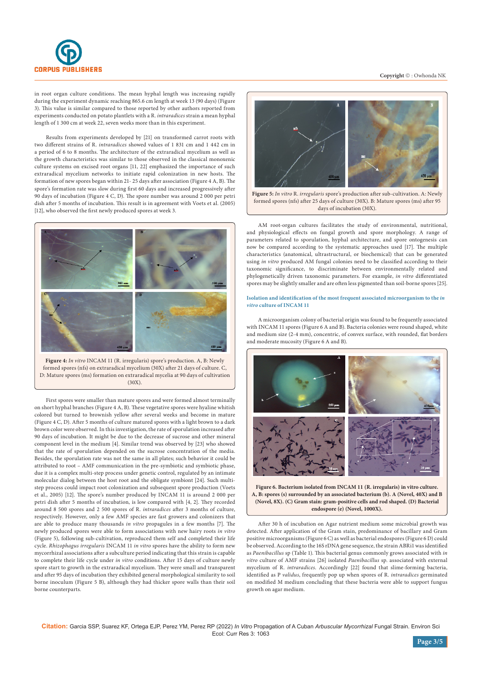

in root organ culture conditions. The mean hyphal length was increasing rapidly during the experiment dynamic reaching 865.6 cm length at week 13 (90 days) (Figure 3). This value is similar compared to those reported by other authors reported from experiments conducted on potato plantlets with a R. *intraradices* strain a mean hyphal length of 1 300 cm at week 22, seven weeks more than in this experiment.

Results from experiments developed by [21] on transformed carrot roots with two different strains of R. *intraradices* showed values of 1 831 cm and 1 442 cm in a period of 6 to 8 months. The architecture of the extraradical mycelium as well as the growth characteristics was similar to those observed in the classical monoxenic culture systems on excised root organs [11, 22] emphasized the importance of such extraradical mycelium networks to initiate rapid colonization in new hosts. The formation of new spores began within 21- 25 days after association (Figure 4 A, B). The spore's formation rate was slow during first 60 days and increased progressively after 90 days of incubation (Figure 4 C, D). The spore number was around 2 000 per petri dish after 5 months of incubation. This result is in agreement with Voets et al. (2005) [12], who observed the first newly produced spores at week 3.



**Figure 4:** *In vitro* INCAM 11 (R. irregularis) spore's production. A, B: Newly formed spores (nfs) on extraradical mycelium (30X) after 21 days of culture. C, D: Mature spores (ms) formation on extraradical mycelia at 90 days of cultivation  $(30X)$ 

First spores were smaller than mature spores and were formed almost terminally on short hyphal branches (Figure 4 A, B). These vegetative spores were hyaline whitish colored but turned to brownish yellow after several weeks and become in mature (Figure 4 C, D). After 5 months of culture matured spores with a light brown to a dark brown color were observed. In this investigation, the rate of sporulation increased after 90 days of incubation. It might be due to the decrease of sucrose and other mineral component level in the medium [4]. Similar trend was observed by [23] who showed that the rate of sporulation depended on the sucrose concentration of the media. Besides, the sporulation rate was not the same in all plates; such behavior it could be attributed to root – AMF communication in the pre-symbiotic and symbiotic phase, due it is a complex multi-step process under genetic control, regulated by an intimate molecular dialog between the host root and the obligate symbiont [24]. Such multistep process could impact root colonization and subsequent spore production (Voets et al., 2005) [12]. The spore's number produced by INCAM 11 is around 2 000 per petri dish after 5 months of incubation, is low compared with [4, 2]. They recorded around 8 500 spores and 2 500 spores of R. *intraradices* after 3 months of culture, respectively. However, only a few AMF species are fast growers and colonizers that are able to produce many thousands *in vitro* propagules in a few months [7]. The newly produced spores were able to form associations with new hairy roots *in vitro*  (Figure 5), following sub-cultivation, reproduced them self and completed their life cycle. *Rhizophagus irregularis* INCAM 11 *in vitro* spores have the ability to form new mycorrhizal associations after a subculture period indicating that this strain is capable to complete their life cycle under *in vitro* conditions. After 15 days of culture newly spore start to growth in the extraradical mycelium. They were small and transparent and after 95 days of incubation they exhibited general morphological similarity to soil borne inoculum (Figure 5 B), although they had thicker spore walls than their soil borne counterparts.



formed spores (nfs) after 25 days of culture (30X). B: Mature spores (ms) after 95 days of incubation (30X).

AM root-organ cultures facilitates the study of environmental, nutritional, and physiological effects on fungal growth and spore morphology. A range of parameters related to sporulation, hyphal architecture, and spore ontogenesis can now be compared according to the systematic approaches used [17]. The multiple characteristics (anatomical, ultrastructural, or biochemical) that can be generated using *in vitro* produced AM fungal colonies need to be classified according to their taxonomic significance, to discriminate between environmentally related and phylogenetically driven taxonomic parameters. For example, *in vitro* differentiated spores may be slightly smaller and are often less pigmented than soil-borne spores [25].

#### **Isolation and identification of the most frequent associated microorganism to the** *in vitro* **culture of INCAM 11**

A microorganism colony of bacterial origin was found to be frequently associated with INCAM 11 spores (Figure 6 A and B). Bacteria colonies were round shaped, white and medium size (2-4 mm), concentric, of convex surface, with rounded, flat borders and moderate mucosity (Figure 6 A and B).



**Figure 6. Bacterium isolated from INCAM 11 (R. irregularis) in vitro culture. A, B: spores (s) surrounded by an associated bacterium (b). A (Novel, 40X) and B (Novel, 8X). (C) Gram stain: gram-positive cells and rod shaped. (D) Bacterial endospore (e) (Novel, 1000X).**

After 30 h of incubation on Agar nutrient medium some microbial growth was detected. After application of the Gram stain, predominance of bacillary and Gram positive microorganisms (Figure 6 C) as well as bacterial endospores (Figure 6 D) could be observed. According to the 16S rDNA gene sequence, the strain ABRi1 was identified as *Paenibacillus* sp (Table 1). This bacterial genus commonly grows associated with *in vitro* culture of AMF strains [26] isolated *Paenibacillus* sp. associated with external mycelium of R. *intraradices*. Accordingly [22] found that slime-forming bacteria, identified as P *validus*, frequently pop up when spores of R. *intraradices* germinated on modified M medium concluding that these bacteria were able to support fungus growth on agar medium.

**Citation:** Garcia SSP, Suarez KF, Ortega EJP, Perez YM, Perez RP (2022) *In Vitro* Propagation of A Cuban *Arbuscular Mycorrhizal* Fungal Strain. Environ Sci Ecol: Curr Res 3: 1063

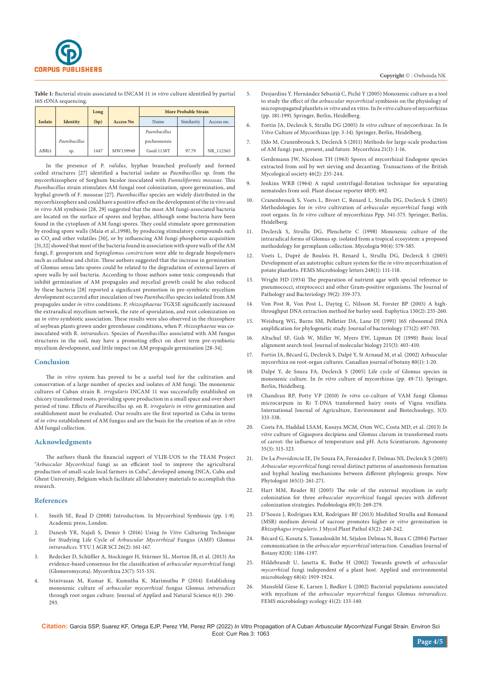

**Table 1:** Bacterial strain associated to INCAM 11 *in vitro* culture identified by partial 16S rDNA sequencing.

|         |                 | Long |                  | <b>More Probable Strain</b> |            |            |
|---------|-----------------|------|------------------|-----------------------------|------------|------------|
| Isolate | <b>Identity</b> | (bp) | <b>Access No</b> | Name                        | Similarity | Access no. |
|         |                 |      |                  | Paenibacillus               |            |            |
|         | Paenibacillus   |      |                  | pocheonensis                |            |            |
| ABRi1   | sp.             | 1447 | MW139949         | Gsoil 1138T                 | 97.79      | NR 112565  |

In the presence of P. *validus*, hyphae branched profusely and formed coiled structures [27] identified a bacterial isolate as *Paenibacillus* sp. from the mycorrhizosphere of Sorghum bicolor inoculated with *Funneliformis mosseae*. This *Paenibacillus* strain stimulates AM fungal root colonization, spore germination, and hyphal growth of F. mosseae [27]. *Paenibacillus* species are widely distributed in the mycorrhizosphere and could have a positive effect on the development of the in vivo and *in vitro* AM symbiosis [28, 29] suggested that the most AM fungi-associated bacteria are located on the surface of spores and hyphae, although some bacteria have been found in the cytoplasm of AM fungi spores. They could stimulate spore germination by eroding spore walls (Maia et al.,1998), by producing stimulatory compounds such as CO<sub>2</sub> and other volatiles [30], or by influencing AM fungi phosphorus acquisition [31,32] showed that most of the bacteria found in association with spore walls of the AM fungi, F. geosporum and *Septoglomus constrictum* were able to degrade biopolymers such as cellulose and chitin. These authors suggested that the increase in germination of Glomus sensu lato spores could be related to the degradation of external layers of spore walls by soil bacteria. According to those authors some toxic compounds that inhibit germination of AM propagules and mycelial growth could be also reduced by these bacteria [28] reported a significant promotion in pre-symbiotic mycelium development occurred after inoculation of two *Paenibacillus* species isolated from AM propagules under *in vitro* conditions. P. *rhizosphaerae* TGX5E significantly increased the extraradical mycelium network, the rate of sporulation, and root colonization on an *in vitro* symbiotic association. These results were also observed in the rhizosphere of soybean plants grown under greenhouse conditions, when P. *rhizosphaerae* was coinoculated with R. *intraradices*. Species of *Paenibacillus* associated with AM fungus structures in the soil, may have a promoting effect on short term pre-symbiotic mycelium development, and little impact on AM propagule germination [28-34].

#### **Conclusion**

The *in vitro* system has proved to be a useful tool for the cultivation and conservation of a large number of species and isolates of AM fungi. The monoxenic cultures of Cuban strain R. *irregularis* INCAM 11 was successfully established on chicory transformed roots, providing spore production in a small space and over short period of time. Effects of *Paenibacillus* sp. on R. *irregularis in vitro* germination and establishment most be evaluated. Our results are the first reported in Cuba in terms of *in vitro* establishment of AM fungus and are the basis for the creation of an *in vitro*  AM fungal collection.

#### **Acknowledgments**

The authors thank the financial support of VLIR-UOS to the TEAM Project "*Arbuscular Mycorrhizal* fungi as an efficient tool to improve the agricultural production of small-scale local farmers in Cuba", developed among INCA, Cuba and Ghent University, Belgium which facilitate all laboratory materials to accomplish this research.

#### **References**

- 1. Smith SE, Read D (2008) Introduction. In Mycorrhizal Symbiosis (pp. 1-9). Academic press, London.
- 2. [Danesh YR, Najafi S, Demir S \(2016\) Using](file:///C:\Users\u\Pictures\8.%20ESECR-RA-22-189\ESECR-RA-22-189_W\GATXUWWYDFFHN4SK64F6H3X6UVUCRGMR6BXJ4JAPT2MMG5QI5VRQLQNE) *In Vitro* Culturing Technique [for Studying Life Cycle of](file:///C:\Users\u\Pictures\8.%20ESECR-RA-22-189\ESECR-RA-22-189_W\GATXUWWYDFFHN4SK64F6H3X6UVUCRGMR6BXJ4JAPT2MMG5QI5VRQLQNE) *Arbuscular Mycorrhizal* Fungus (AMF) Glomus *intraradices*[. YYU J AGR SCI 26\(2\): 161-167.](file:///C:\Users\u\Pictures\8.%20ESECR-RA-22-189\ESECR-RA-22-189_W\GATXUWWYDFFHN4SK64F6H3X6UVUCRGMR6BXJ4JAPT2MMG5QI5VRQLQNE)
- 3. [Redecker D, Schüßler A, Stockinger H, Stürmer SL, Morton JB, et al. \(2013\) An](https://link.springer.com/article/10.1007/s00572-013-0486-y)  [evidence-based consensus for the classification of](https://link.springer.com/article/10.1007/s00572-013-0486-y) *arbuscular mycorrhizal* fungi [\(Glomeromycota\). Mycorrhiza 23\(7\): 515-531.](https://link.springer.com/article/10.1007/s00572-013-0486-y)
- 4. [Srinivasan M, Kumar K, Kumutha K, Marimuthu P \(2014\) Establishing](https://journals.ansfoundation.org/index.php/jans/article/download/417/401/780)  monoxenic culture of *[arbuscular mycorrhizal](https://journals.ansfoundation.org/index.php/jans/article/download/417/401/780)* fungus Glomus *intraradices* [through root organ culture. Journal of Applied and Natural Science 6\(1\): 290-](https://journals.ansfoundation.org/index.php/jans/article/download/417/401/780) [293.](https://journals.ansfoundation.org/index.php/jans/article/download/417/401/780)
- 5. Desjardins Y. Hernández Sebastià C, Piché Y (2005) Monoxenic culture as a tool to study the effect of the *arbuscular mycorrhizal* symbiosis on the physiology of micropropagated plantlets *in vitro* and ex vitro. In *In vitro* culture of mycorrhizas (pp. 181-199). Springer, Berlin, Heidelberg.
- 6. [Fortin JA, Declerck S, Strullu DG \(2005\)](https://link.springer.com/chapter/10.1007/3-540-27331-X_1) *In vitro* culture of mycorrhizas. In *In Vitro* [Culture of Mycorrhizas \(pp. 3-14\). Springer, Berlin, Heidelberg.](https://link.springer.com/chapter/10.1007/3-540-27331-X_1)
- 7. [IJdo M, Cranenbrouck S, Declerck S \(2011\) Methods for large-scale production](https://link.springer.com/article/10.1007/s00572-010-0337-z)  [of AM fungi: past, present, and future. Mycorrhiza 21\(1\): 1-16.](https://link.springer.com/article/10.1007/s00572-010-0337-z)
- 8. [Gerdemann JW, Nicolson TH \(1963\) Spores of mycorrhizal Endogone species](https://www.sciencedirect.com/science/article/abs/pii/S0007153663800790)  [extracted from soil by wet sieving and decanting. Transactions of the British](https://www.sciencedirect.com/science/article/abs/pii/S0007153663800790)  [Mycological society 46\(2\): 235-244.](https://www.sciencedirect.com/science/article/abs/pii/S0007153663800790)
- 9. [Jenkins WRB \(1964\) A rapid centrifugal-flotation technique for separating](file:///C:\Users\u\Pictures\8.%20ESECR-RA-22-189\ESECR-RA-22-189_W\GATXUWWYDFFHN4SK64F6H3X6UVUCRGMR6BXJ4JAPT2MMG5QI5VRQLQNE)  [nematodes from soil. Plant disease reporter 48\(9\): 692.](file:///C:\Users\u\Pictures\8.%20ESECR-RA-22-189\ESECR-RA-22-189_W\GATXUWWYDFFHN4SK64F6H3X6UVUCRGMR6BXJ4JAPT2MMG5QI5VRQLQNE)
- 10. Cranenbrouck S, Voets L, Bivort C, Renard L, Strullu DG, Declerck S (2005) Methodologies for *in vitro* cultivation of *arbuscular mycorrhizal* fungi with root organs. In *In vitro* culture of mycorrhizas Ppp. 341-375. Springer, Berlin, Heidelberg.
- 11. [Declerck S, Strullu DG, Plenchette C \(1998\) Monoxenic culture of the](https://www.tandfonline.com/doi/abs/10.1080/00275514.1998.12026946)  [intraradical forms of Glomus sp. isolated from a tropical ecosystem: a proposed](https://www.tandfonline.com/doi/abs/10.1080/00275514.1998.12026946)  [methodology for germplasm collection. Mycologia 90\(4\): 579-585.](https://www.tandfonline.com/doi/abs/10.1080/00275514.1998.12026946)
- 12. [Voets L, Dupré de Boulois H, Renard L, Strullu DG, Declerck S \(2005\)](https://academic.oup.com/femsle/article/248/1/111/556037?login=false)  [Development of an autotrophic culture system for the](https://academic.oup.com/femsle/article/248/1/111/556037?login=false) *in vitro* mycorrhization of [potato plantlets. FEMS Microbiology letters 248\(1\): 111-118.](https://academic.oup.com/femsle/article/248/1/111/556037?login=false)
- 13. [Wright HD \(1934\) The preparation of nutrient agar with special reference to](https://onlinelibrary.wiley.com/doi/abs/10.1002/path.1700390210)  [pneumococci, streptococci and other Gram](https://onlinelibrary.wiley.com/doi/abs/10.1002/path.1700390210)‐positive organisms. The Journal of [Pathology and Bacteriology 39\(2\): 359-373.](https://onlinelibrary.wiley.com/doi/abs/10.1002/path.1700390210)
- [Von Post R, Von Post L, Dayteg C, Nilsson M, Forster BP \(2003\) A high](https://link.springer.com/article/10.1023/A:1022863006134)[throughput DNA extraction method for barley seed. Euphytica 130\(2\): 255-260.](https://link.springer.com/article/10.1023/A:1022863006134)
- 15. [Weisburg WG, Barns SM, Pelletier DA, Lane DJ \(1991\) 16S ribosomal DNA](https://pubmed.ncbi.nlm.nih.gov/1987160/)  [amplification for phylogenetic study. Journal of bacteriology 173\(2\): 697-703.](https://pubmed.ncbi.nlm.nih.gov/1987160/)
- 16. [Altschul SF, Gish W, Miller W, Myers EW, Lipman DJ \(1990\) Basic local](https://blast.ncbi.nlm.nih.gov/Blast.cgi)  [alignment search tool. Journal of molecular biology 215\(3\): 403-410.](https://blast.ncbi.nlm.nih.gov/Blast.cgi)
- 17. [Fortin JA, Bécard G, Declerck S, Dalpé Y, St Arnaud M, et al. \(2002\) Arbuscular](https://scialert.net/fulltext/?doi=ajpp.2007.122.138)  [mycorrhiza on root-organ cultures. Canadian journal of botany 80\(1\): 1-20.](https://scialert.net/fulltext/?doi=ajpp.2007.122.138)
- 18. [Dalpé Y, de Souza FA, Declerck S \(2005\) Life cycle of Glomus species in](https://link.springer.com/chapter/10.1007/3-540-27331-X_4)  monoxenic culture. In *In vitro* [culture of mycorrhizas \(pp. 49-71\). Springer,](https://link.springer.com/chapter/10.1007/3-540-27331-X_4)  [Berlin, Heidelberg.](https://link.springer.com/chapter/10.1007/3-540-27331-X_4)
- 19. Chandran RP, Potty VP (2010) *In vitro* [co-culture of VAM fungi Glomus](https://www.indianjournals.com/ijor.aspx?target=ijor:ijaeb&volume=3&issue=3&article=013)  [microcarpum in Ri T-DNA transformed hairy roots of Vigna vexillata.](https://www.indianjournals.com/ijor.aspx?target=ijor:ijaeb&volume=3&issue=3&article=013)  [International Journal of Agriculture, Environment and Biotechnology, 3\(3\):](https://www.indianjournals.com/ijor.aspx?target=ijor:ijaeb&volume=3&issue=3&article=013)  [333-338.](https://www.indianjournals.com/ijor.aspx?target=ijor:ijaeb&volume=3&issue=3&article=013)
- 20. [Costa FA, Haddad LSAM, Kasuya MCM, Oton WC, Costa MD, et al. \(2013\)](https://www.scielo.br/j/asagr/a/pHnHsvVbDW8TtWXDyz4rf7k/?lang=en) *In vitro* [culture of Gigaspora decipiens and Glomus clarum in transformed roots](https://www.scielo.br/j/asagr/a/pHnHsvVbDW8TtWXDyz4rf7k/?lang=en)  [of carrot: the influence of temperature and pH. Acta Scientiarum. Agronomy](https://www.scielo.br/j/asagr/a/pHnHsvVbDW8TtWXDyz4rf7k/?lang=en)  [35\(3\): 315-323.](https://www.scielo.br/j/asagr/a/pHnHsvVbDW8TtWXDyz4rf7k/?lang=en)
- 21. De La *Providencia* [IE, De Souza FA, Fernández F, Delmas NS, Declerck S \(2005\)](https://pubmed.ncbi.nlm.nih.gov/15720638/)  *Arbuscular mycorrhizal* [fungi reveal distinct patterns of anastomosis formation](https://pubmed.ncbi.nlm.nih.gov/15720638/)  [and hyphal healing mechanisms between different phylogenic groups. New](https://pubmed.ncbi.nlm.nih.gov/15720638/)  [Phytologist 165\(1\): 261-271.](https://pubmed.ncbi.nlm.nih.gov/15720638/)
- 22. [Hart MM, Reader RJ \(2005\) The role of the external mycelium in early](https://www.sciencedirect.com/science/article/abs/pii/S0031405605000065)  colonization for three *arbuscular mycorrhizal* [fungal species with different](https://www.sciencedirect.com/science/article/abs/pii/S0031405605000065)  [colonization strategies. Pedobiologia 49\(3\): 269-279.](https://www.sciencedirect.com/science/article/abs/pii/S0031405605000065)
- 23. D'Souza J, Rodrigues KM, Rodrigues BF (2013) Modified Strullu and Romand (MSR) medium devoid of sucrose promotes higher *in vitro* germination in *Rhizophagus irregularis*. J Mycol Plant Pathol 43(2): 240-242.
- 24. [Bécard G, Kosuta S, Tamasloukht M, Séjalon Delmas N, Roux C \(2004\) Partner](https://cdnsciencepub.com/doi/10.1139/b04-087)  communication in the *arbuscular mycorrhizal* [interaction. Canadian Journal of](https://cdnsciencepub.com/doi/10.1139/b04-087)  [Botany 82\(8\): 1186-1197.](https://cdnsciencepub.com/doi/10.1139/b04-087)
- 25. [Hildebrandt U, Janetta K, Bothe H \(2002\) Towards growth of](https://pubmed.ncbi.nlm.nih.gov/11916713/) *arbuscular mycorrhizal* [fungi independent of a plant host. Applied and environmental](https://pubmed.ncbi.nlm.nih.gov/11916713/)  [microbiology 68\(4\): 1919-1924.](https://pubmed.ncbi.nlm.nih.gov/11916713/)
- 26. [Mansfeld Giese K, Larsen J, Bødker L \(2002\) Bacterial populations associated](https://academic.oup.com/femsec/article/41/2/133/515417)  with mycelium of the *[arbuscular mycorrhizal](https://academic.oup.com/femsec/article/41/2/133/515417)* fungus Glomus *intraradices*. [FEMS microbiology ecology 41\(2\): 133-140.](https://academic.oup.com/femsec/article/41/2/133/515417)

**Citation:** Garcia SSP, Suarez KF, Ortega EJP, Perez YM, Perez RP (2022) *In Vitro* Propagation of A Cuban *Arbuscular Mycorrhizal* Fungal Strain. Environ Sci Ecol: Curr Res 3: 1063